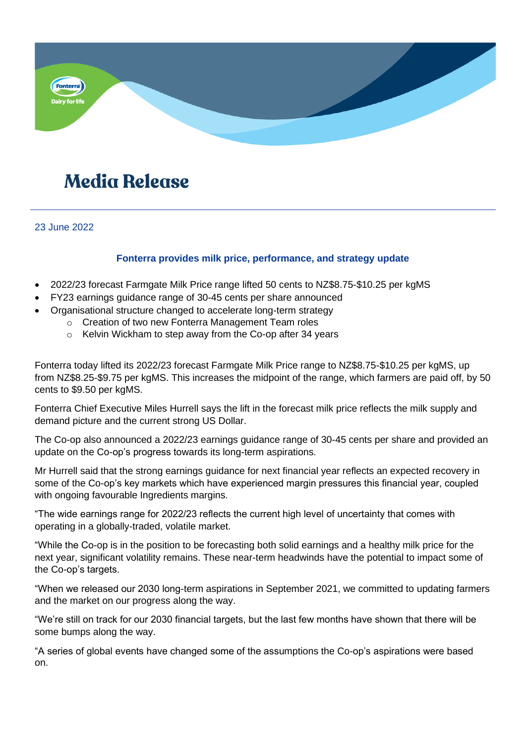

# **Media Release**

23 June 2022

## **Fonterra provides milk price, performance, and strategy update**

- 2022/23 forecast Farmgate Milk Price range lifted 50 cents to NZ\$8.75-\$10.25 per kgMS
- FY23 earnings guidance range of 30-45 cents per share announced
- Organisational structure changed to accelerate long-term strategy
	- o Creation of two new Fonterra Management Team roles
	- o Kelvin Wickham to step away from the Co-op after 34 years

Fonterra today lifted its 2022/23 forecast Farmgate Milk Price range to NZ\$8.75-\$10.25 per kgMS, up from NZ\$8.25-\$9.75 per kgMS. This increases the midpoint of the range, which farmers are paid off, by 50 cents to \$9.50 per kgMS.

Fonterra Chief Executive Miles Hurrell says the lift in the forecast milk price reflects the milk supply and demand picture and the current strong US Dollar.

The Co-op also announced a 2022/23 earnings guidance range of 30-45 cents per share and provided an update on the Co-op's progress towards its long-term aspirations.

Mr Hurrell said that the strong earnings guidance for next financial year reflects an expected recovery in some of the Co-op's key markets which have experienced margin pressures this financial year, coupled with ongoing favourable Ingredients margins.

"The wide earnings range for 2022/23 reflects the current high level of uncertainty that comes with operating in a globally-traded, volatile market.

"While the Co-op is in the position to be forecasting both solid earnings and a healthy milk price for the next year, significant volatility remains. These near-term headwinds have the potential to impact some of the Co-op's targets.

"When we released our 2030 long-term aspirations in September 2021, we committed to updating farmers and the market on our progress along the way.

"We're still on track for our 2030 financial targets, but the last few months have shown that there will be some bumps along the way.

"A series of global events have changed some of the assumptions the Co-op's aspirations were based on.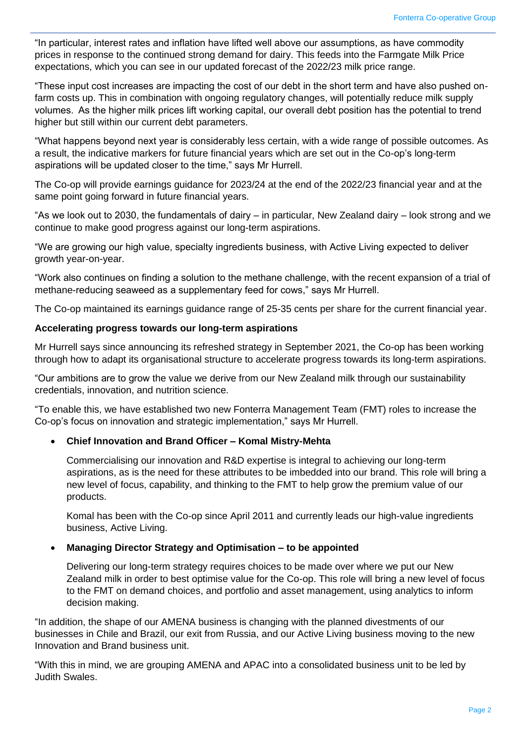"In particular, interest rates and inflation have lifted well above our assumptions, as have commodity prices in response to the continued strong demand for dairy. This feeds into the Farmgate Milk Price expectations, which you can see in our updated forecast of the 2022/23 milk price range.

"These input cost increases are impacting the cost of our debt in the short term and have also pushed onfarm costs up. This in combination with ongoing regulatory changes, will potentially reduce milk supply volumes.  As the higher milk prices lift working capital, our overall debt position has the potential to trend higher but still within our current debt parameters.

"What happens beyond next year is considerably less certain, with a wide range of possible outcomes. As a result, the indicative markers for future financial years which are set out in the Co-op's long-term aspirations will be updated closer to the time," says Mr Hurrell.

The Co-op will provide earnings guidance for 2023/24 at the end of the 2022/23 financial year and at the same point going forward in future financial years.

"As we look out to 2030, the fundamentals of dairy – in particular, New Zealand dairy – look strong and we continue to make good progress against our long-term aspirations.

"We are growing our high value, specialty ingredients business, with Active Living expected to deliver growth year-on-year.

"Work also continues on finding a solution to the methane challenge, with the recent expansion of a trial of methane-reducing seaweed as a supplementary feed for cows," says Mr Hurrell.

The Co-op maintained its earnings guidance range of 25-35 cents per share for the current financial year.

## **Accelerating progress towards our long-term aspirations**

Mr Hurrell says since announcing its refreshed strategy in September 2021, the Co-op has been working through how to adapt its organisational structure to accelerate progress towards its long-term aspirations.

"Our ambitions are to grow the value we derive from our New Zealand milk through our sustainability credentials, innovation, and nutrition science.

"To enable this, we have established two new Fonterra Management Team (FMT) roles to increase the Co-op's focus on innovation and strategic implementation," says Mr Hurrell.

## • **Chief Innovation and Brand Officer – Komal Mistry-Mehta**

Commercialising our innovation and R&D expertise is integral to achieving our long-term aspirations, as is the need for these attributes to be imbedded into our brand. This role will bring a new level of focus, capability, and thinking to the FMT to help grow the premium value of our products.

Komal has been with the Co-op since April 2011 and currently leads our high-value ingredients business, Active Living.

## • **Managing Director Strategy and Optimisation – to be appointed**

Delivering our long-term strategy requires choices to be made over where we put our New Zealand milk in order to best optimise value for the Co-op. This role will bring a new level of focus to the FMT on demand choices, and portfolio and asset management, using analytics to inform decision making.

"In addition, the shape of our AMENA business is changing with the planned divestments of our businesses in Chile and Brazil, our exit from Russia, and our Active Living business moving to the new Innovation and Brand business unit.

"With this in mind, we are grouping AMENA and APAC into a consolidated business unit to be led by Judith Swales.